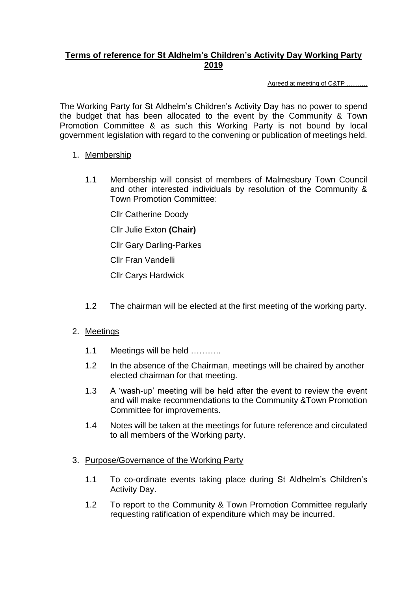## **Terms of reference for St Aldhelm's Children's Activity Day Working Party 2019**

Agreed at meeting of C&TP ……….

The Working Party for St Aldhelm's Children's Activity Day has no power to spend the budget that has been allocated to the event by the Community & Town Promotion Committee & as such this Working Party is not bound by local government legislation with regard to the convening or publication of meetings held.

## 1. Membership

1.1 Membership will consist of members of Malmesbury Town Council and other interested individuals by resolution of the Community & Town Promotion Committee:

Cllr Catherine Doody

Cllr Julie Exton **(Chair)**

Cllr Gary Darling-Parkes

Cllr Fran Vandelli

Cllr Carys Hardwick

1.2 The chairman will be elected at the first meeting of the working party.

## 2. Meetings

- 1.1 Meetings will be held ...........
- 1.2 In the absence of the Chairman, meetings will be chaired by another elected chairman for that meeting.
- 1.3 A 'wash-up' meeting will be held after the event to review the event and will make recommendations to the Community &Town Promotion Committee for improvements.
- 1.4 Notes will be taken at the meetings for future reference and circulated to all members of the Working party.

## 3. Purpose/Governance of the Working Party

- 1.1 To co-ordinate events taking place during St Aldhelm's Children's Activity Day.
- 1.2 To report to the Community & Town Promotion Committee regularly requesting ratification of expenditure which may be incurred.